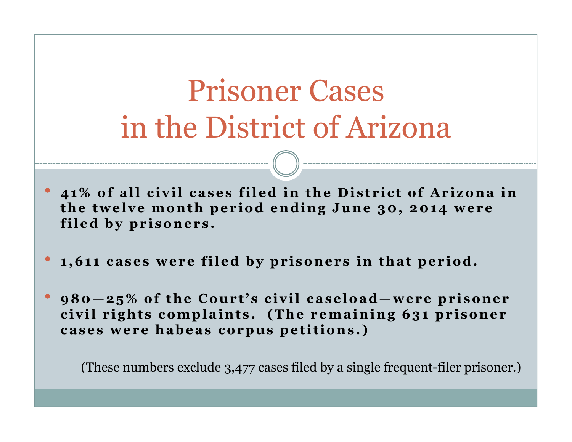# Prisoner Cases in the District of Arizona

- •41% of all civil cases filed in the District of Arizona in the twelve month period ending June 30, 2014 were filed by prisoners.
- •1,611 cases were filed by prisoners in that period.
- • $980 - 25\%$  of the Court's civil caseload—were prisoner civil rights complaints. (The remaining 631 prisoner cases were habeas corpus petitions.)

(These numbers exclude 3,477 cases filed by a single frequent-filer prisoner.)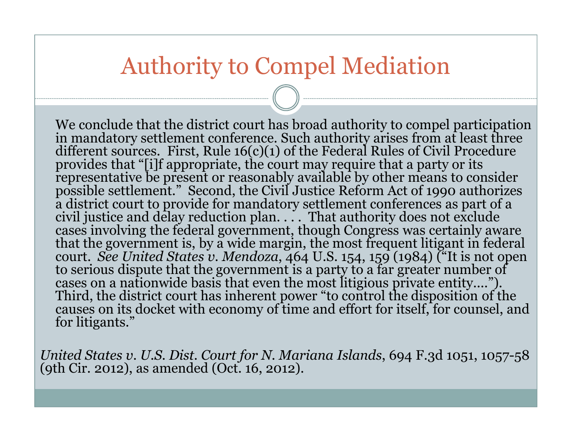#### Authority to Compel Mediation

We conclude that the district court has broad authority to compel participation<br>in mandatory settlement conference. Such authority arises from at least three<br>different sources. First, Rule  $16(c)(1)$  of the Federal Rules of provides that "[i]f appropriate, the court may require that a party or its<br>representative be present or reasonably available by other means to consider<br>possible settlement." Second, the Civil Justice Reform Act of 1990 aut cases involving the federal government, though Congress was certainly aware<br>that the government is, by a wide margin, the most frequent litigant in federal<br>court. See United States v. Mendoza, 464 U.S. 154, 159 (1984) ("It to serious dispute that the government is a party to a far greater number of<br>cases on a nationwide basis that even the most litigious private entity....").<br>Third, the district court has inherent power "to control the dispo

United States v. U.S. Dist. Court for N. Mariana Islands, 694 F.3d 1051, 1057-58 (9th Cir. 2012), as amended (Oct. 16, 2012).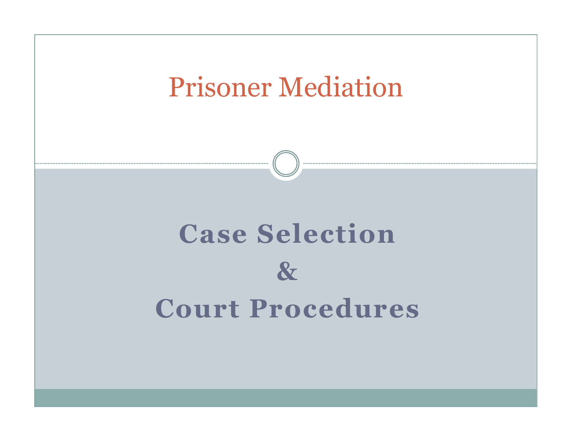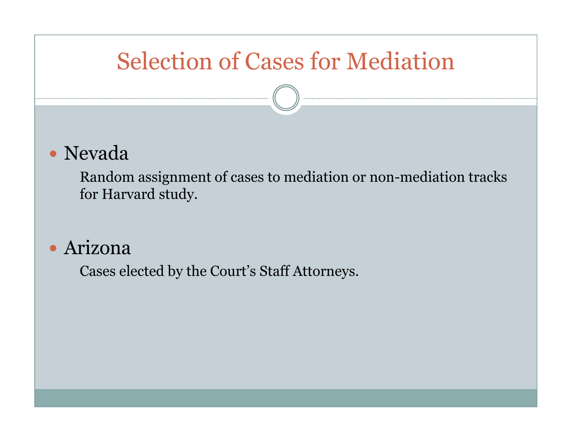# Selection of Cases for Mediation

#### • Nevada

 Random assignment of cases to mediation or non-mediation tracks for Harvard study.

#### Arizona

Cases elected by the Court's Staff Attorneys.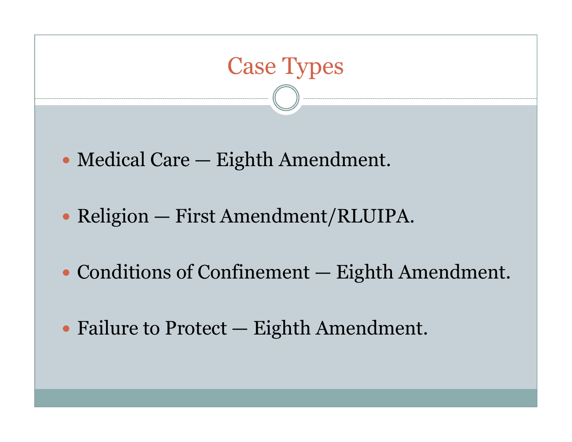

- Religion First Amendment/RLUIPA.
- Conditions of Confinement Eighth Amendment.
- Failure to Protect Eighth Amendment.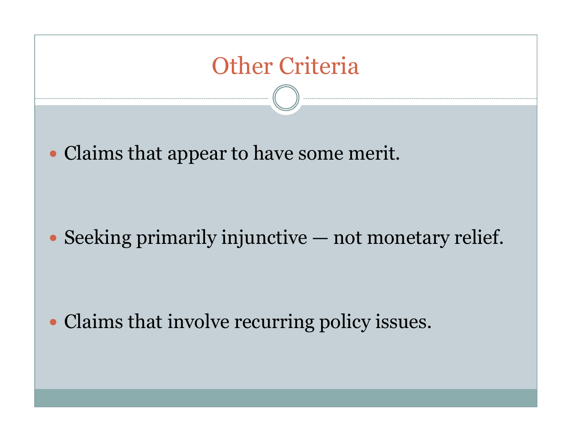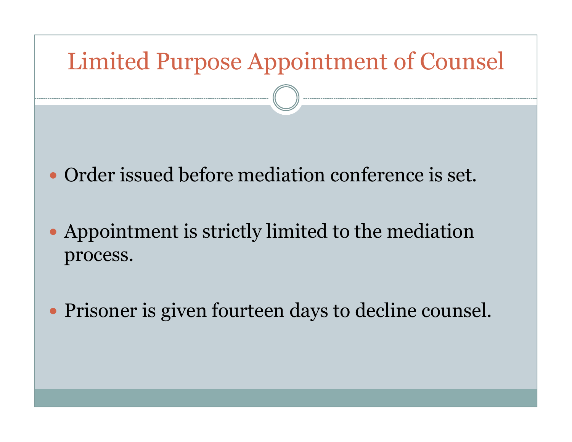# Limited Purpose Appointment of CounselOrder issued before mediation conference is set.

- Appointment is strictly limited to the mediation process.
- Prisoner is given fourteen days to decline counsel.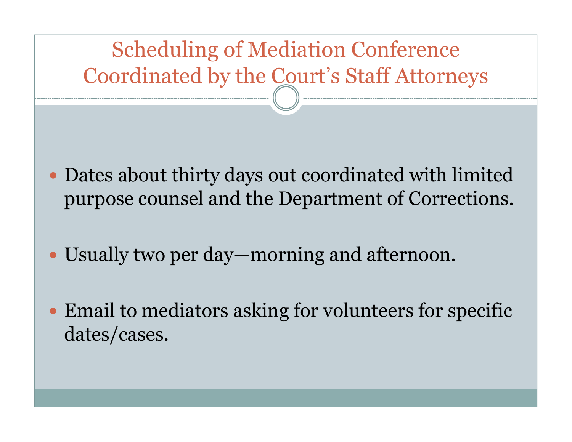# Scheduling of Mediation ConferenceCoordinated by the Court's Staff Attorneys

- Dates about thirty days out coordinated with limitedpurpose counsel and the Department of Corrections.
- Usually two per day—morning and afternoon.
- Email to mediators asking for volunteers for specific dates/cases.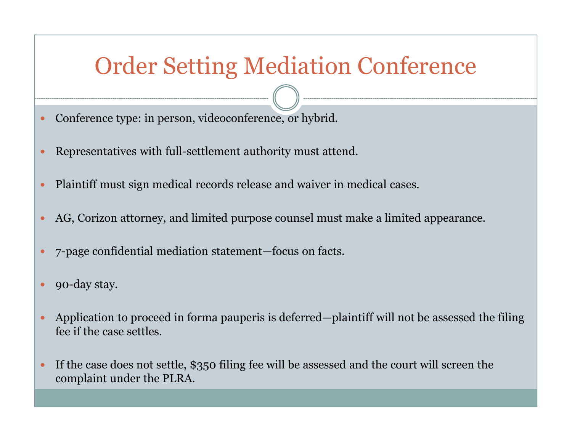### Order Setting Mediation Conference

- $\bullet$ Conference type: in person, videoconference, or hybrid.
- $\bullet$ Representatives with full-settlement authority must attend.
- $\bullet$ Plaintiff must sign medical records release and waiver in medical cases.
- $\bullet$ AG, Corizon attorney, and limited purpose counsel must make a limited appearance.
- $\bullet$ 7-page confidential mediation statement—focus on facts.
- $\bullet$ 90-day stay.
- $\bullet$  Application to proceed in forma pauperis is deferred—plaintiff will not be assessed the filing fee if the case settles.
- $\bullet$  If the case does not settle, \$350 filing fee will be assessed and the court will screen the complaint under the PLRA.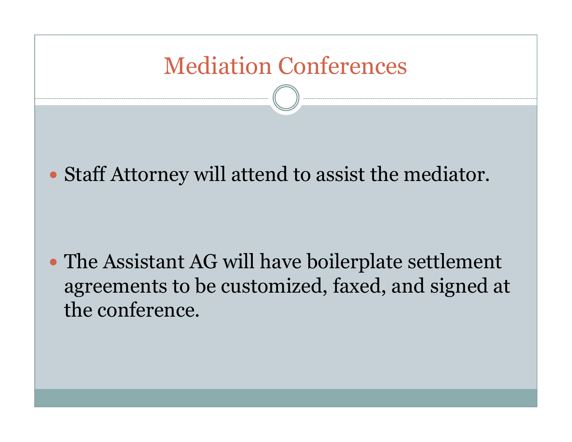